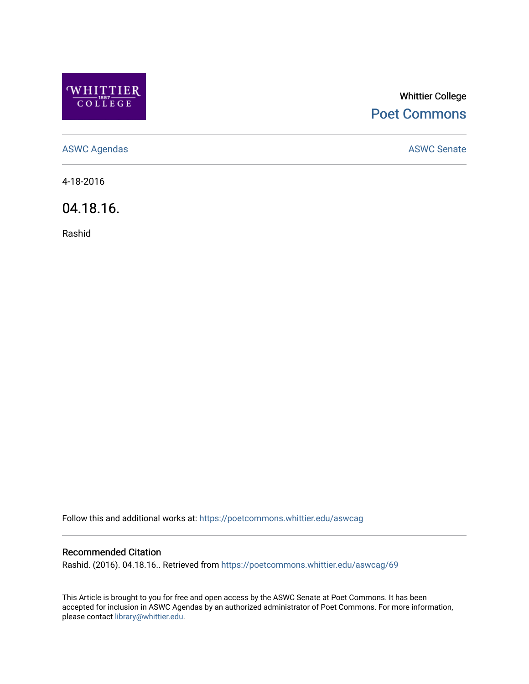

## Whittier College [Poet Commons](https://poetcommons.whittier.edu/)

[ASWC Agendas](https://poetcommons.whittier.edu/aswcag) **ASWC Senate** 

4-18-2016

04.18.16.

Rashid

Follow this and additional works at: [https://poetcommons.whittier.edu/aswcag](https://poetcommons.whittier.edu/aswcag?utm_source=poetcommons.whittier.edu%2Faswcag%2F69&utm_medium=PDF&utm_campaign=PDFCoverPages) 

## Recommended Citation

Rashid. (2016). 04.18.16.. Retrieved from [https://poetcommons.whittier.edu/aswcag/69](https://poetcommons.whittier.edu/aswcag/69?utm_source=poetcommons.whittier.edu%2Faswcag%2F69&utm_medium=PDF&utm_campaign=PDFCoverPages)

This Article is brought to you for free and open access by the ASWC Senate at Poet Commons. It has been accepted for inclusion in ASWC Agendas by an authorized administrator of Poet Commons. For more information, please contact [library@whittier.edu](mailto:library@whittier.edu).